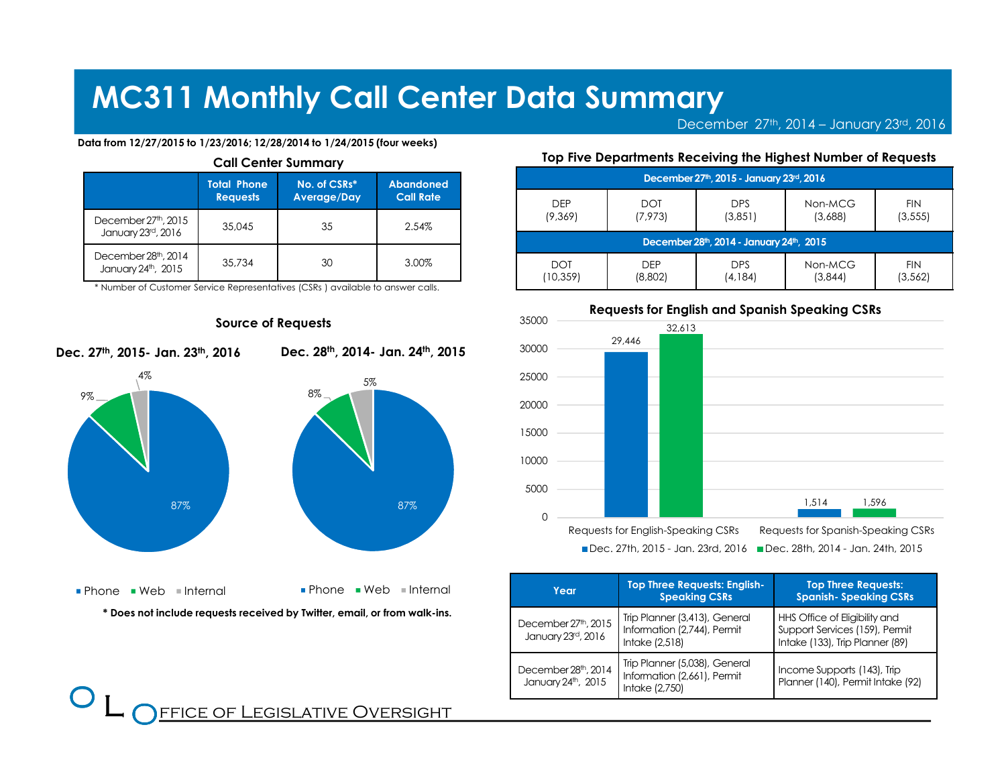December 27th, 2014 – January 23rd, <sup>2016</sup>

FIN

#### Data from 12/27/2015 to 1/23/2016; 12/28/2014 to 1/24/2015 (four weeks)

| <b>Call Center Summary</b>                             |                                       |                             |                                      |  |
|--------------------------------------------------------|---------------------------------------|-----------------------------|--------------------------------------|--|
|                                                        | <b>Total Phone</b><br><b>Requests</b> | No. of CSRs*<br>Average/Day | <b>Abandoned</b><br><b>Call Rate</b> |  |
| December 27 <sup>th</sup> , 2015<br>January 23rd, 2016 | 35,045                                | 35                          | 2.54%                                |  |
| December 28th, 2014<br>January 24th, 2015              | 35,734                                | 30                          | 3.00%                                |  |

\* Number of Customer Service Representatives (CSRs ) available to answer calls.



Source of Requests



DEP $DT$ DPSNon-MCG

| ◡                                        | ◡◡         |            | 19011191 U | .          |
|------------------------------------------|------------|------------|------------|------------|
| (9,369)                                  | (7, 973)   | (3,851)    | (3,688)    | (3, 555)   |
| December 28th, 2014 - January 24th, 2015 |            |            |            |            |
| <b>DOT</b>                               | <b>DEP</b> | <b>DPS</b> | Non-MCG    | <b>FIN</b> |
| (10,359)                                 | (8,802)    | (4,184)    | (3,844)    | (3, 562)   |

December 27th, 2015 - January 23rd, 2016

Top Five Departments Receiving the Highest Number of Requests



| Year                                                   | <b>Top Three Requests: English-</b><br><b>Speaking CSRs</b>                    | <b>Top Three Requests:</b><br><b>Spanish-Speaking CSRs</b>                                         |
|--------------------------------------------------------|--------------------------------------------------------------------------------|----------------------------------------------------------------------------------------------------|
| December 27 <sup>th</sup> , 2015<br>January 23rd, 2016 | Trip Planner (3,413), General<br>Information (2,744), Permit<br>Intake (2,518) | HHS Office of Eligibility and<br>Support Services (159), Permit<br>Intake (133), Trip Planner (89) |
| December 28th, 2014<br>January 24th, 2015              | Trip Planner (5,038), General<br>Information (2,661), Permit<br>Intake (2,750) | Income Supports (143), Trip<br>Planner (140), Permit Intake (92)                                   |

Dec. 27th, 2015- Jan. 23th, 2016

\* Does not include requests received by Twitter, email, or from walk-ins.

### $\bf{O}$  $\overline{\phantom{a}}$ FFICE OF LEGISLATIVE OVERSIGHT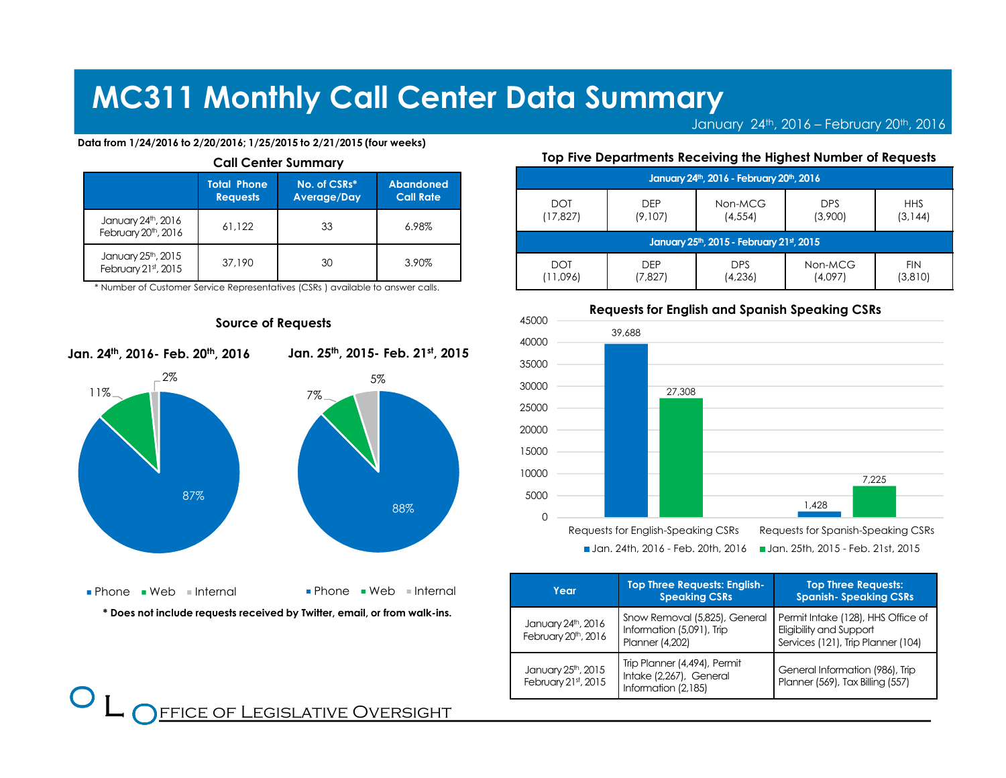January 24th, 2016 – February 20th, <sup>2016</sup>

#### Data from 1/24/2016 to 2/20/2016; 1/25/2015 to 2/21/2015 (four weeks)

| Call Center Summary                                    |                                       |                             |                               |  |
|--------------------------------------------------------|---------------------------------------|-----------------------------|-------------------------------|--|
|                                                        | <b>Total Phone</b><br><b>Requests</b> | No. of CSRs*<br>Average/Day | Abandoned<br><b>Call Rate</b> |  |
| January 24th, 2016<br>February 20 <sup>th</sup> , 2016 | 61.122                                | 33                          | 6.98%                         |  |
| January 25 <sup>th</sup> , 2015<br>February 21st, 2015 | 37,190                                | 30                          | 3.90%                         |  |

Call Center Summary

\* Number of Customer Service Representatives (CSRs ) available to answer calls.



#### Source of Requests

Jan. 24th, 2016- Feb. 20th, <sup>2016</sup>

 $\bf{O}$  $\overline{\phantom{a}}$  Jan. 25th, 2015- Feb. 21st, <sup>2015</sup>

#### Top Five Departments Receiving the Highest Number of Requests

| January 24th, 2016 - February 20th, 2016 |            |            |            |            |
|------------------------------------------|------------|------------|------------|------------|
| <b>DOT</b>                               | <b>DFP</b> | Non-MCG    | <b>DPS</b> | <b>HHS</b> |
| (17,827)                                 | (9,107)    | (4, 554)   | (3,900)    | (3, 144)   |
| January 25th, 2015 - February 21st, 2015 |            |            |            |            |
| <b>DOT</b>                               | <b>DFP</b> | <b>DPS</b> | Non-MCG    | <b>FIN</b> |
| (11,096)                                 | (7,827)    | (4,236)    | (4,097)    | (3,810)    |



**Jan. 24th, 2016 - Feb. 20th, 2016** ■ Jan. 25th, 2015 - Feb. 21st, 2015

| Year                                                   | <b>Top Three Requests: English-</b><br><b>Speaking CSRs</b>                          | <b>Top Three Requests:</b><br><b>Spanish-Speaking CSRs</b>                                          |
|--------------------------------------------------------|--------------------------------------------------------------------------------------|-----------------------------------------------------------------------------------------------------|
| January 24th, 2016<br>February 20 <sup>th</sup> , 2016 | Snow Removal (5,825), General<br>Information (5,091), Trip<br><b>Planner (4,202)</b> | Permit Intake (128), HHS Office of<br>Eligibility and Support<br>Services (121), Trip Planner (104) |
| January 25th, 2015<br>February 21st, 2015              | Trip Planner (4,494), Permit<br>Intake (2,267), General<br>Information (2,185)       | General Information (986), Trip<br>Planner (569), Tax Billing (557)                                 |

FFICE OF LEGISLATIVE OVERSIGHT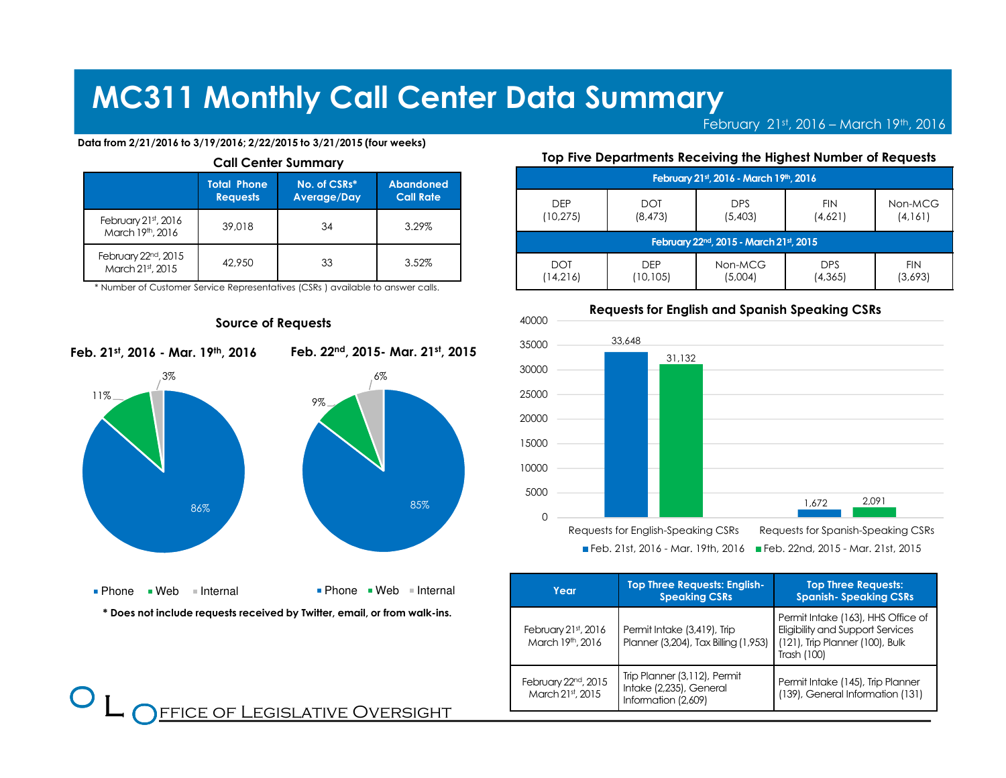February  $21^\text{st}$ , 2016 – March 19<sup>th</sup>, 2016

#### Data from 2/21/2016 to 3/19/2016; 2/22/2015 to 3/21/2015 (four weeks)

| <b>Call Center Summary</b>                           |                                       |                             |                                      |  |
|------------------------------------------------------|---------------------------------------|-----------------------------|--------------------------------------|--|
|                                                      | <b>Total Phone</b><br><b>Requests</b> | No. of CSRs*<br>Average/Day | <b>Abandoned</b><br><b>Call Rate</b> |  |
| February 21st, 2016<br>March 19th, 2016              | 39,018                                | 34                          | 3.29%                                |  |
| February 22 <sup>nd</sup> , 2015<br>March 21st, 2015 | 42,950                                | 33                          | 3.52%                                |  |

\* Number of Customer Service Representatives (CSRs ) available to answer calls.



FFICE OF LEGISLATIVE OVERSIGHT

#### Source of Requests

Feb. 21st, 2016 - Mar. 19th, <sup>2016</sup>

 $\bf{O}$  $\overline{\phantom{a}}$  Feb. 22nd, 2015- Mar. 21st, <sup>2015</sup>

#### Top Five Departments Receiving the Highest Number of Requests

| February 21st, 2016 - March 19th, 2016              |            |            |            |            |
|-----------------------------------------------------|------------|------------|------------|------------|
| DFP                                                 | <b>DOT</b> | <b>DPS</b> | <b>FIN</b> | Non-MCG    |
| (10, 275)                                           | (8, 473)   | (5,403)    | (4,621)    | (4, 161)   |
| February 22 <sup>nd</sup> , 2015 - March 21st, 2015 |            |            |            |            |
| <b>DOT</b>                                          | <b>DFP</b> | Non-MCG    | <b>DPS</b> | <b>FIN</b> |
| (14,216)                                            | (10,105)   | (5,004)    | (4, 365)   | (3,693)    |



Requests for English and Spanish Speaking CSRs

Feb. 21st, 2016 - Mar. 19th, 2016 ■ Feb. 22nd, 2015 - Mar. 21st, 2015

| Year                                    | <b>Top Three Requests: English-</b><br><b>Speaking CSRs</b>                    | <b>Top Three Requests:</b><br><b>Spanish-Speaking CSRs</b>                                                                      |
|-----------------------------------------|--------------------------------------------------------------------------------|---------------------------------------------------------------------------------------------------------------------------------|
| February 21st, 2016<br>March 19th, 2016 | Permit Intake (3,419), Trip<br>Planner (3,204), Tax Billing (1,953)            | Permit Intake (163), HHS Office of<br><b>Eligibility and Support Services</b><br>(121), Trip Planner (100), Bulk<br>Trash (100) |
| February 22nd, 2015<br>March 21st, 2015 | Trip Planner (3,112), Permit<br>Intake (2,235), General<br>Information (2,609) | Permit Intake (145), Trip Planner<br>(139), General Information (131)                                                           |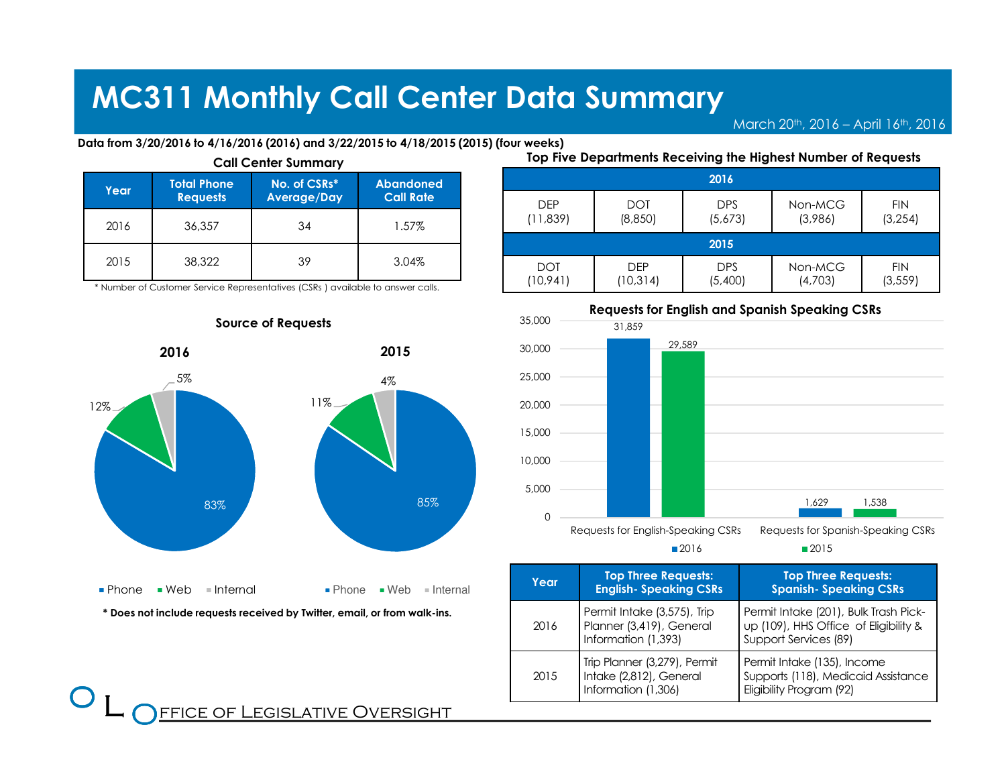March 20<sup>th</sup>, 2016 – April 16<sup>th</sup>, 2016

Data from 3/20/2016 to 4/16/2016 (2016) and 3/22/2015 to 4/18/2015 (2015) (four weeks)

| Year | <b>Total Phone</b><br><b>Requests</b> | No. of CSRs*<br>Average/Day | <b>Abandoned</b><br><b>Call Rate</b> |
|------|---------------------------------------|-----------------------------|--------------------------------------|
| 2016 | 36,357                                | 34                          | 1.57%                                |
| 2015 | 38,322                                | 39                          | 3.04%                                |

\* Number of Customer Service Representatives (CSRs ) available to answer calls.



### Source of Requests

Top Five Departments Receiving the Highest Number of Requests

|            |            | 2016       |         |            |
|------------|------------|------------|---------|------------|
| <b>DEP</b> | <b>DOT</b> | <b>DPS</b> | Non-MCG | <b>FIN</b> |
| (11, 839)  | (8,850)    | (5,673)    | (3,986) | (3, 254)   |
| 2015       |            |            |         |            |
| <b>DOT</b> | <b>DEP</b> | <b>DPS</b> | Non-MCG | <b>FIN</b> |
| (10, 941)  | (10, 314)  | (5,400)    | (4,703) | (3, 559)   |



■2015

■2016

| Year | <b>Top Three Requests:</b><br><b>English- Speaking CSRs</b>                    | <b>Top Three Requests:</b><br><b>Spanish- Speaking CSRs</b>                                             |
|------|--------------------------------------------------------------------------------|---------------------------------------------------------------------------------------------------------|
| 2016 | Permit Intake (3,575), Trip<br>Planner (3,419), General<br>Information (1,393) | Permit Intake (201), Bulk Trash Pick-<br>up (109), HHS Office of Eligibility &<br>Support Services (89) |
| 2015 | Trip Planner (3,279), Permit<br>Intake (2,812), General<br>Information (1,306) | Permit Intake (135), Income<br>Supports (118), Medicaid Assistance<br>Eligibility Program (92)          |

### **FFICE OF LEGISLATIVE OVERSIGHT**

 $\bf{O}$  $\overline{\phantom{a}}$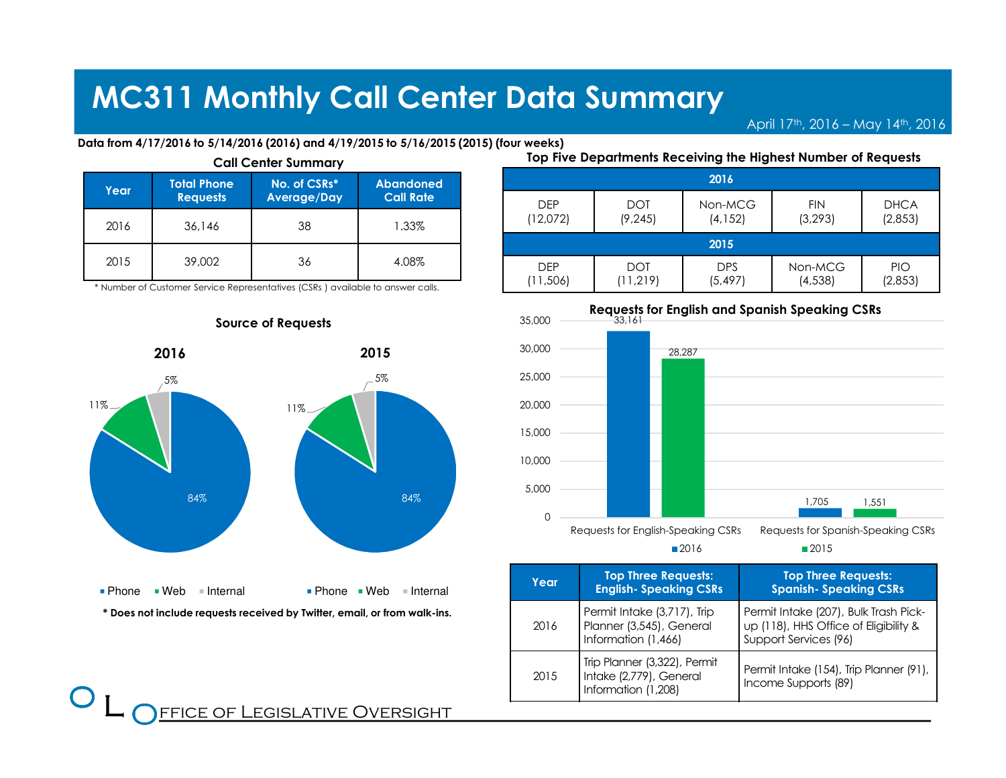April 17<sup>th</sup>, 2016 – May 14<sup>th</sup>, 2016

Data from 4/17/2016 to 5/14/2016 (2016) and 4/19/2015 to 5/16/2015 (2015) (four weeks)

| Year | <b>Total Phone</b><br><b>Requests</b> | No. of CSRs*<br><b>Average/Day</b> | <b>Abandoned</b><br><b>Call Rate</b> |
|------|---------------------------------------|------------------------------------|--------------------------------------|
| 2016 | 36,146                                | 38                                 | 1.33%                                |
| 2015 | 39,002                                | 36                                 | 4.08%                                |

\* Number of Customer Service Representatives (CSRs ) available to answer calls.



### Source of Requests

Top Five Departments Receiving the Highest Number of Requests

|            |            | 2016       |            |             |
|------------|------------|------------|------------|-------------|
| <b>DFP</b> | <b>DOT</b> | Non-MCG    | <b>FIN</b> | <b>DHCA</b> |
| (12,072)   | (9, 245)   | (4, 152)   | (3, 293)   | (2,853)     |
| 2015       |            |            |            |             |
| <b>DEP</b> | <b>DOT</b> | <b>DPS</b> | Non-MCG    | <b>PIO</b>  |
| (11,506)   | (11, 219)  | (5,497)    | (4, 538)   | (2,853)     |



■2015

■2016

| Year | <b>Top Three Requests:</b><br><b>English- Speaking CSRs</b>                    | <b>Top Three Requests:</b><br><b>Spanish- Speaking CSRs</b>                                             |
|------|--------------------------------------------------------------------------------|---------------------------------------------------------------------------------------------------------|
| 2016 | Permit Intake (3,717), Trip<br>Planner (3,545), General<br>Information (1,466) | Permit Intake (207), Bulk Trash Pick-<br>up (118), HHS Office of Eligibility &<br>Support Services (96) |
| 2015 | Trip Planner (3,322), Permit<br>Intake (2,779), General<br>Information (1,208) | Permit Intake (154), Trip Planner (91),<br>Income Supports (89)                                         |

**FFICE OF LEGISLATIVE OVERSIGHT** 

 $\bf{O}$  $\overline{\phantom{a}}$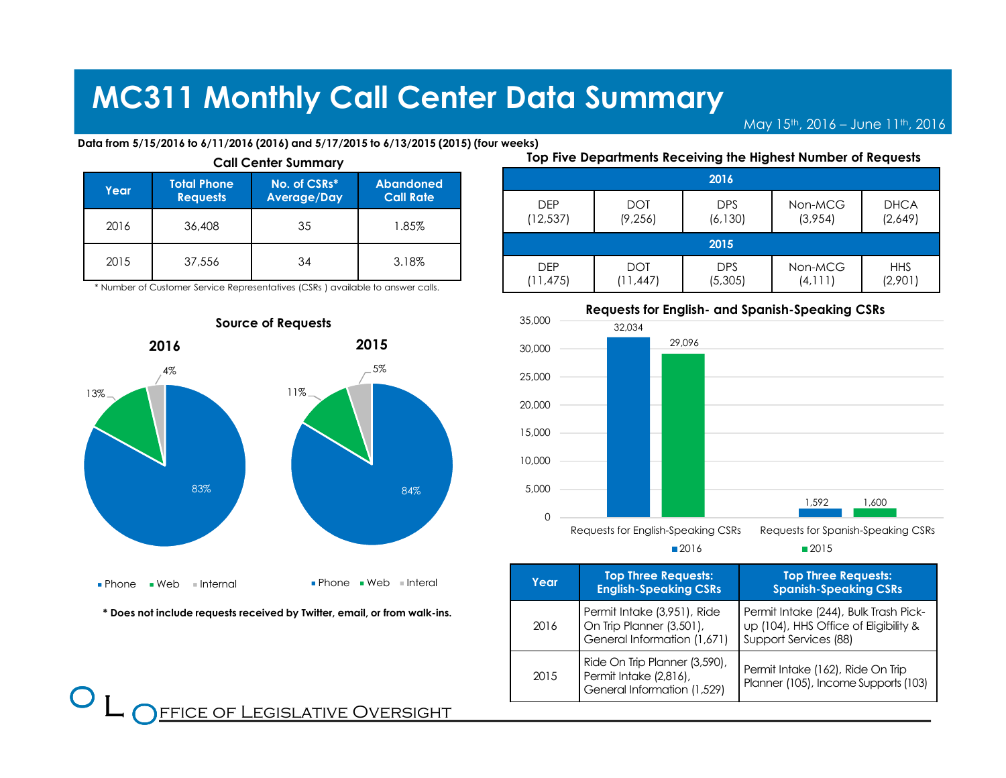(11,475)

(11,447)

May  $15^{th}$ , 2016 – June  $11^{th}$ , 2016

(4,111)

■2015

(2,901)

#### Data from 5/15/2016 to 6/11/2016 (2016) and 5/17/2015 to 6/13/2015 (2015) (four weeks)

| Year | <b>Total Phone</b><br><b>Requests</b> | No. of CSRs*<br>Average/Day | <b>Abandoned</b><br><b>Call Rate</b> |
|------|---------------------------------------|-----------------------------|--------------------------------------|
| 2016 | 36,408                                | 35                          | 1.85%                                |
| 2015 | 37,556                                | 34                          | 3.18%                                |

\* Number of Customer Service Representatives (CSRs ) available to answer calls.



\* Does not include requests received by Twitter, email, or from walk-ins.

 $\bf{O}$  $\overline{\phantom{a}}$ 

#### 2016DEP (12,537)DOT (9,256)DPS (6,130)Non-MCG (3,954)DHCA (2,649)2015DEPDOTDPSNon-MCGHHS

(5,305)



Requests for English-Speaking CSRs Requests for Spanish-Speaking CSRs

■2016

| Year | <b>Top Three Requests:</b><br><b>English-Speaking CSRs</b>                             | <b>Top Three Requests:</b><br><b>Spanish-Speaking CSRs</b>                                              |
|------|----------------------------------------------------------------------------------------|---------------------------------------------------------------------------------------------------------|
| 2016 | Permit Intake (3,951), Ride<br>On Trip Planner (3,501),<br>General Information (1,671) | Permit Intake (244), Bulk Trash Pick-<br>up (104), HHS Office of Eligibility &<br>Support Services (88) |
| 2015 | Ride On Trip Planner (3,590),<br>Permit Intake (2,816),<br>General Information (1,529) | Permit Intake (162), Ride On Trip<br>Planner (105), Income Supports (103)                               |

### Top Five Departments Receiving the Highest Number of Requests

FFICE OF LEGISLATIVE OVERSIGHT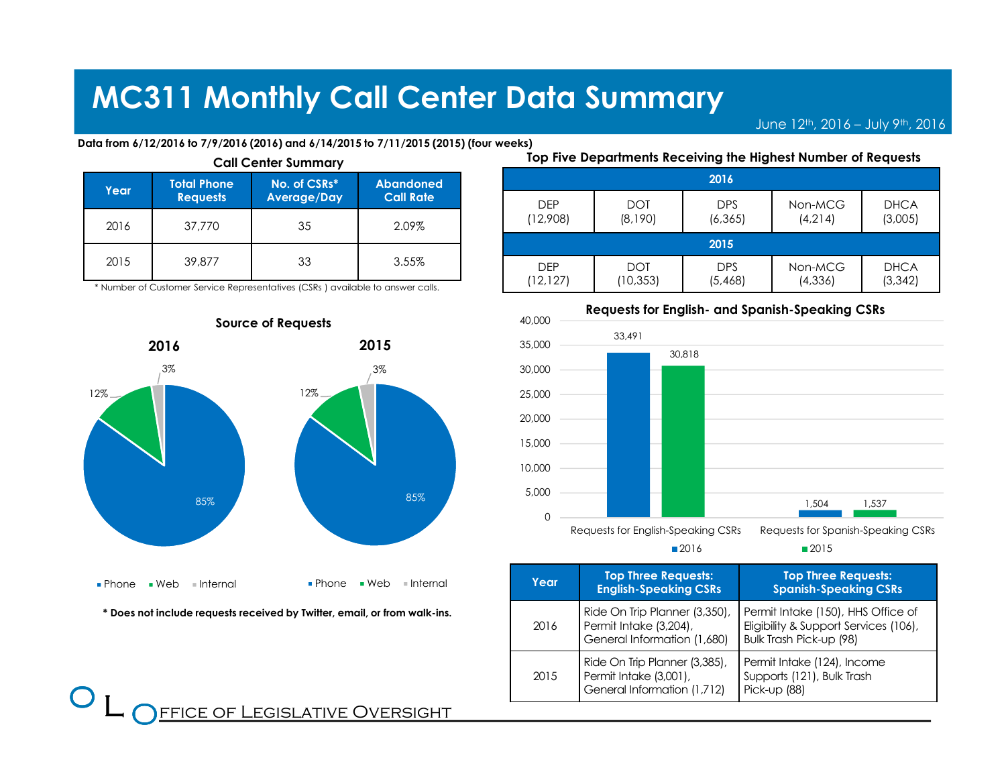June  $12^{th}$ , 2016 – July  $9^{th}$ , 2016

#### Data from 6/12/2016 to 7/9/2016 (2016) and 6/14/2015 to 7/11/2015 (2015) (four weeks)

| Year | <b>Total Phone</b><br><b>Requests</b> | No. of CSRs*<br>Average/Day | <b>Abandoned</b><br><b>Call Rate</b> |
|------|---------------------------------------|-----------------------------|--------------------------------------|
| 2016 | 37,770                                | 35                          | 2.09%                                |
| 2015 | 39,877                                | 33                          | 3.55%                                |

\* Number of Customer Service Representatives (CSRs ) available to answer calls.



\* Does not include requests received by Twitter, email, or from walk-ins.

 $\bf{O}$  $\overline{\phantom{a}}$ 

#### Top Five Departments Receiving the Highest Number of Requests2016DEP (12,908)DOT (8,190)DPS (6,365)Non-MCG (4,214)DHCA (3,005)2015DEP (12,127)DOT (10,353)DPS (5,468)Non-MCG (4,336)DHCA(3,342)



Requests for English- and Spanish-Speaking CSRs

Requests for English-Speaking CSRs Requests for Spanish-Speaking CSRs

■2015

■2016

| Year | <b>Top Three Requests:</b><br><b>English-Speaking CSRs</b>                             | <b>Top Three Requests:</b><br><b>Spanish-Speaking CSRs</b>                                             |
|------|----------------------------------------------------------------------------------------|--------------------------------------------------------------------------------------------------------|
| 2016 | Ride On Trip Planner (3,350),<br>Permit Intake (3,204),<br>General Information (1,680) | Permit Intake (150), HHS Office of<br>Eligibility & Support Services (106),<br>Bulk Trash Pick-up (98) |
| 2015 | Ride On Trip Planner (3,385),<br>Permit Intake (3,001),<br>General Information (1,712) | Permit Intake (124), Income<br>Supports (121), Bulk Trash<br>Pick-up (88)                              |

### FFICE OF LEGISLATIVE OVERSIGHT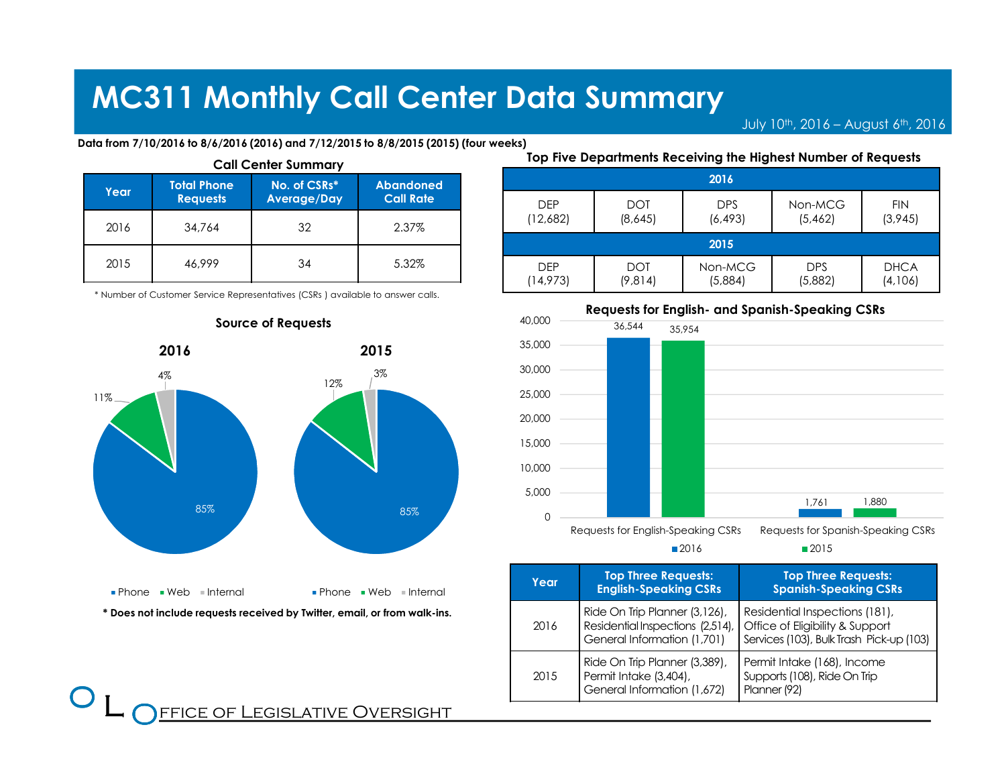July 10<sup>th</sup>, 2016 – August 6<sup>th</sup>, 2016

Data from 7/10/2016 to 8/6/2016 (2016) and 7/12/2015 to 8/8/2015 (2015) (four weeks)

| Year | <b>Total Phone</b><br><b>Requests</b> | No. of CSRs*<br>Average/Day | <b>Abandoned</b><br><b>Call Rate</b> |
|------|---------------------------------------|-----------------------------|--------------------------------------|
| 2016 | 34,764                                | 32                          | 2.37%                                |
| 2015 | 46,999                                | 34                          | 5.32%                                |

\* Number of Customer Service Representatives (CSRs ) available to answer calls.



**FFICE OF LEGISLATIVE OVERSIGHT** 

 $\bf{O}$  $\overline{\phantom{a}}$ 

#### Source of Requests

Top Five Departments Receiving the Highest Number of Requests

|            |            | 2016       |            |             |  |
|------------|------------|------------|------------|-------------|--|
| <b>DEP</b> | <b>DOT</b> | <b>DPS</b> | Non-MCG    | <b>FIN</b>  |  |
| (12,682)   | (8,645)    | (6, 493)   | (5,462)    | (3,945)     |  |
|            | 2015       |            |            |             |  |
| <b>DFP</b> | <b>DOT</b> | Non-MCG    | <b>DPS</b> | <b>DHCA</b> |  |
| (14, 973)  | (9,814)    | (5,884)    | (5,882)    | (4,106)     |  |



Requests for English-Speaking CSRs Requests for Spanish-Speaking CSRs

■2015

■2016

| Year | <b>Top Three Requests:</b><br><b>English-Speaking CSRs</b>                                       | <b>Top Three Requests:</b><br><b>Spanish-Speaking CSRs</b>                                                    |
|------|--------------------------------------------------------------------------------------------------|---------------------------------------------------------------------------------------------------------------|
| 2016 | Ride On Trip Planner (3,126),<br>Residential Inspections (2,514),<br>General Information (1,701) | Residential Inspections (181),<br>Office of Eligibility & Support<br>Services (103), Bulk Trash Pick-up (103) |
| 2015 | Ride On Trip Planner (3,389),<br>Permit Intake (3,404),<br>General Information (1,672)           | Permit Intake (168), Income<br>Supports (108), Ride On Trip<br>Planner (92)                                   |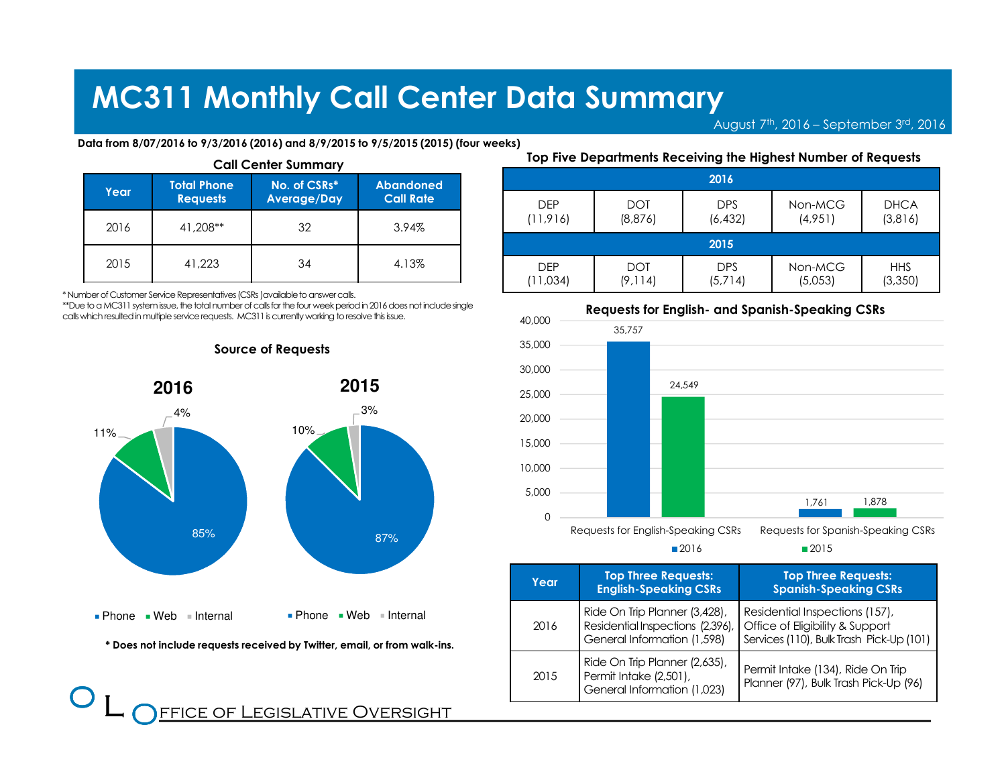August 7th, 2016 – September 3rd, <sup>2016</sup>

Data from 8/07/2016 to 9/3/2016 (2016) and 8/9/2015 to 9/5/2015 (2015) (four weeks)

| Year | <b>Total Phone</b><br><b>Requests</b> | No. of CSRs*<br><b>Average/Day</b> | <b>Abandoned</b><br><b>Call Rate</b> |
|------|---------------------------------------|------------------------------------|--------------------------------------|
| 2016 | 41,208**                              | 32                                 | 3.94%                                |
| 2015 | 41,223                                | 34                                 | 4.13%                                |

\* Number of Customer Service Representatives (CSRs )available to answer calls.

 \*\*Due to a MC311 system issue, the total number of calls for the four week period in 2016 does not include single calls which resulted in multiple service requests. MC311 is currently working to resolve this issue.



### Source of Requests

Top Five Departments Receiving the Highest Number of Requests

| 2016       |            |            |         |             |
|------------|------------|------------|---------|-------------|
| <b>DEP</b> | <b>DOT</b> | <b>DPS</b> | Non-MCG | <b>DHCA</b> |
| (11, 916)  | (8,876)    | (6, 432)   | (4,951) | (3,816)     |
| 2015       |            |            |         |             |
| <b>DFP</b> | DOT        | <b>DPS</b> | Non-MCG | <b>HHS</b>  |
| (11,034)   | (9, 114)   | (5,714)    | (5,053) | (3, 350)    |



Requests for English-Speaking CSRs Requests for Spanish-Speaking CSRs

■2015

■2016

| Year | <b>Top Three Requests:</b><br><b>English-Speaking CSRs</b>                                       | <b>Top Three Requests:</b><br><b>Spanish-Speaking CSRs</b>                                                    |
|------|--------------------------------------------------------------------------------------------------|---------------------------------------------------------------------------------------------------------------|
| 2016 | Ride On Trip Planner (3,428),<br>Residential Inspections (2,396),<br>General Information (1,598) | Residential Inspections (157),<br>Office of Eligibility & Support<br>Services (110), Bulk Trash Pick-Up (101) |
| 2015 | Ride On Trip Planner (2,635),<br>Permit Intake (2,501),<br>General Information (1,023)           | Permit Intake (134), Ride On Trip<br>Planner (97), Bulk Trash Pick-Up (96)                                    |

\* Does not include requests received by Twitter, email, or from walk-ins.

 $\overline{\phantom{a}}$ **FFICE OF LEGISLATIVE OVERSIGHT** 

 $\bf{O}$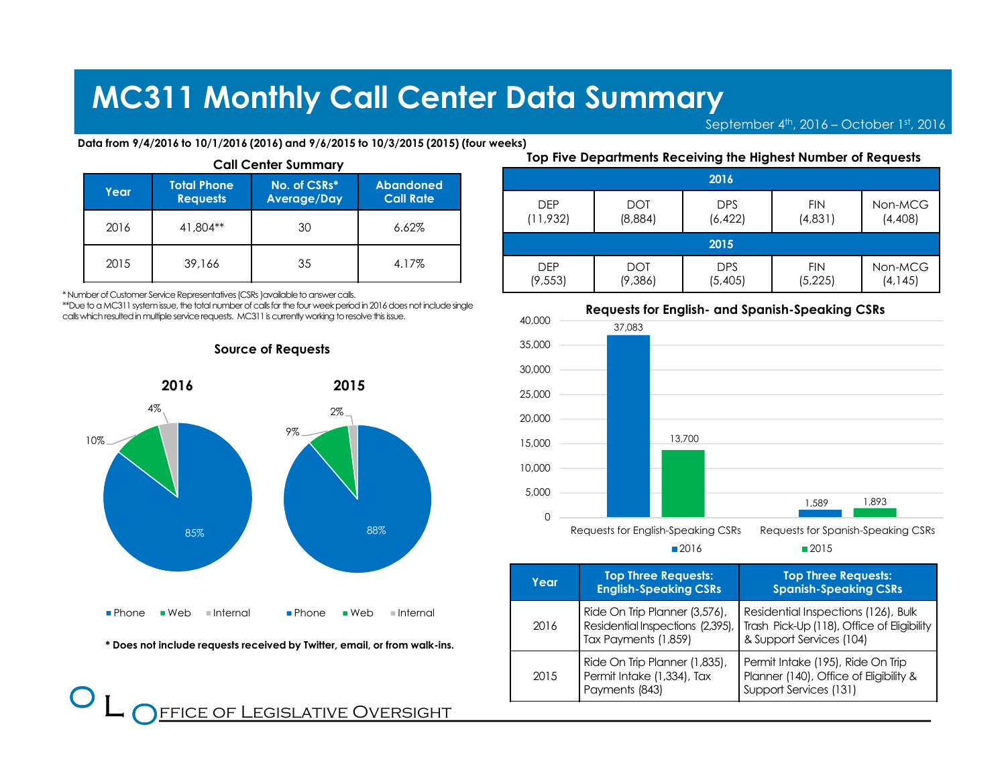DEP(11,932)

DEP

September 4<sup>th</sup>, 2016 – October 1st, 2016

FIN(4,831)

FIN

■2015

Non-MCG(4,408)

Data from 9/4/2016 to 10/1/2016 (2016) and 9/6/2015 to 10/3/2015 (2015) (four weeks)

| Year | <b>Total Phone</b><br><b>Requests</b> | No. of CSRs*<br>Average/Day | <b>Abandoned</b><br><b>Call Rate</b> |
|------|---------------------------------------|-----------------------------|--------------------------------------|
| 2016 | 41,804**                              | 30                          | 6.62%                                |
| 2015 | 39,166                                | 35                          | 4.17%                                |

\* Number of Customer Service Representatives (CSRs )available to answer calls.

 $\bf{O}$  $\overline{\phantom{a}}$ 

 \*\*Due to a MC311 system issue, the total number of calls for the four week period in 2016 does not include single calls which resulted in multiple service requests. MC311 is currently working to resolve this issue.

Source of Requests



\* Does not include requests received by Twitter, email, or from walk-ins.

FFICE OF LEGISLATIVE OVERSIGHT

# Call Center Summary

Requests for English- and Spanish-Speaking CSRs (9,553) (9,386) (5,405) (5,225)Non-MCG (4,145)37,0831,58913,7001,893 $\Omega$ 5,00010,00015,00020,00025,00030,00035,00040,000Requests for English-Speaking CSRs Requests for Spanish-Speaking CSRs

Top Five Departments Receiving the Highest Number of Requests

2016

2015

DPS

DPS(6,422)

**DOT** (8,884)

DOT

■2016

| Year | <b>Top Three Requests:</b><br><b>English-Speaking CSRs</b>                                | <b>Top Three Requests:</b><br><b>Spanish-Speaking CSRs</b>                                                    |
|------|-------------------------------------------------------------------------------------------|---------------------------------------------------------------------------------------------------------------|
| 2016 | Ride On Trip Planner (3,576),<br>Residential Inspections (2,395),<br>Tax Payments (1,859) | Residential Inspections (126), Bulk<br>Trash Pick-Up (118), Office of Eligibility<br>& Support Services (104) |
| 2015 | Ride On Trip Planner (1,835),<br>Permit Intake (1,334), Tax<br>Payments (843)             | Permit Intake (195), Ride On Trip<br>Planner (140), Office of Eligibility &<br>Support Services (131)         |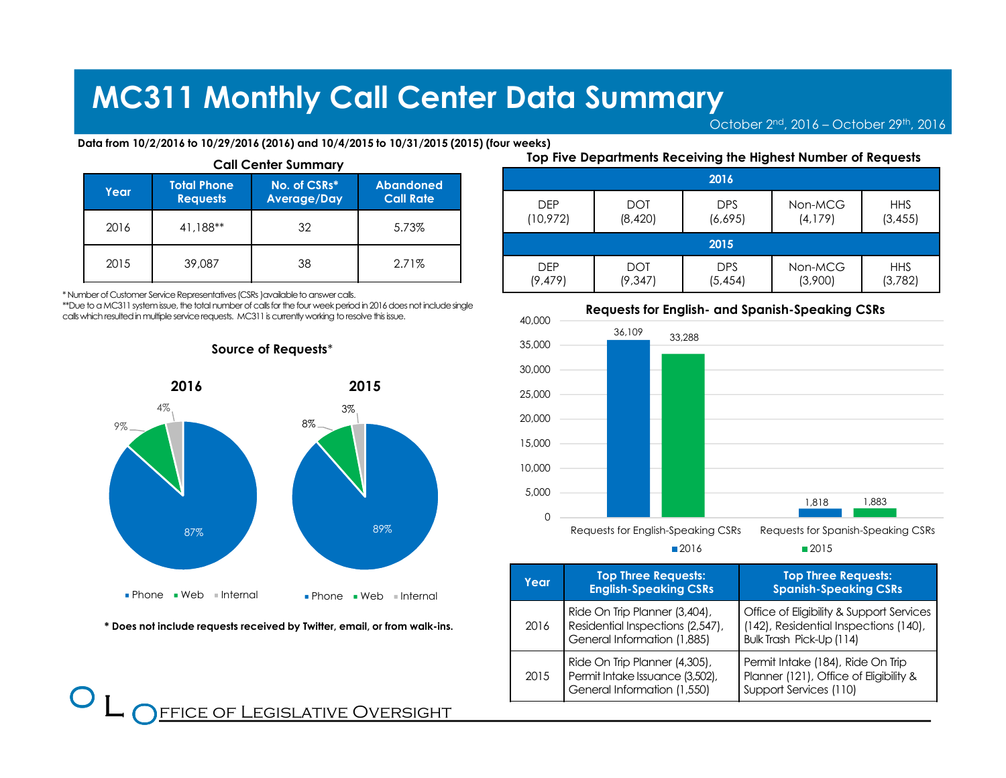October  $2<sup>nd</sup>$ , 2016 – October  $2<sup>gh</sup>$ , 2016

Data from 10/2/2016 to 10/29/2016 (2016) and 10/4/2015 to 10/31/2015 (2015) (four weeks)

| Year | <b>Total Phone</b><br><b>Requests</b> | No. of CSRs*<br><b>Average/Day</b> | <b>Abandoned</b><br><b>Call Rate</b> |
|------|---------------------------------------|------------------------------------|--------------------------------------|
| 2016 | 41,188**                              | 32                                 | 5.73%                                |
| 2015 | 39,087                                | 38                                 | 2.71%                                |

\* Number of Customer Service Representatives (CSRs )available to answer calls.

 $\bf{O}$  $\overline{\phantom{a}}$ 

 \*\*Due to a MC311 system issue, the total number of calls for the four week period in 2016 does not include single calls which resulted in multiple service requests. MC311 is currently working to resolve this issue.





\* Does not include requests received by Twitter, email, or from walk-ins.

**FFICE OF LEGISLATIVE OVERSIGHT** 

Call Center Summary

Top Five Departments Receiving the Highest Number of Requests

| 2016       |            |            |          |            |
|------------|------------|------------|----------|------------|
| <b>DFP</b> | <b>DOT</b> | <b>DPS</b> | Non-MCG  | <b>HHS</b> |
| (10, 972)  | (8,420)    | (6,695)    | (4, 179) | (3, 455)   |
| 2015       |            |            |          |            |
| <b>DEP</b> | DOT        | <b>DPS</b> | Non-MCG  | <b>HHS</b> |
| (9, 479)   | (9, 347)   | (5, 454)   | (3,900)  | (3,782)    |



■2016

■2015

| Year | <b>Top Three Requests:</b><br><b>English-Speaking CSRs</b>                                       | <b>Top Three Requests:</b><br><b>Spanish-Speaking CSRs</b>                                                    |
|------|--------------------------------------------------------------------------------------------------|---------------------------------------------------------------------------------------------------------------|
| 2016 | Ride On Trip Planner (3,404),<br>Residential Inspections (2,547),<br>General Information (1,885) | Office of Eligibility & Support Services<br>(142), Residential Inspections (140),<br>Bulk Trash Pick-Up (114) |
| 2015 | Ride On Trip Planner (4,305),<br>Permit Intake Issuance (3,502),<br>General Information (1,550)  | Permit Intake (184), Ride On Trip<br>Planner (121), Office of Eligibility &<br>Support Services (110)         |

#### Requests for English- and Spanish-Speaking CSRs